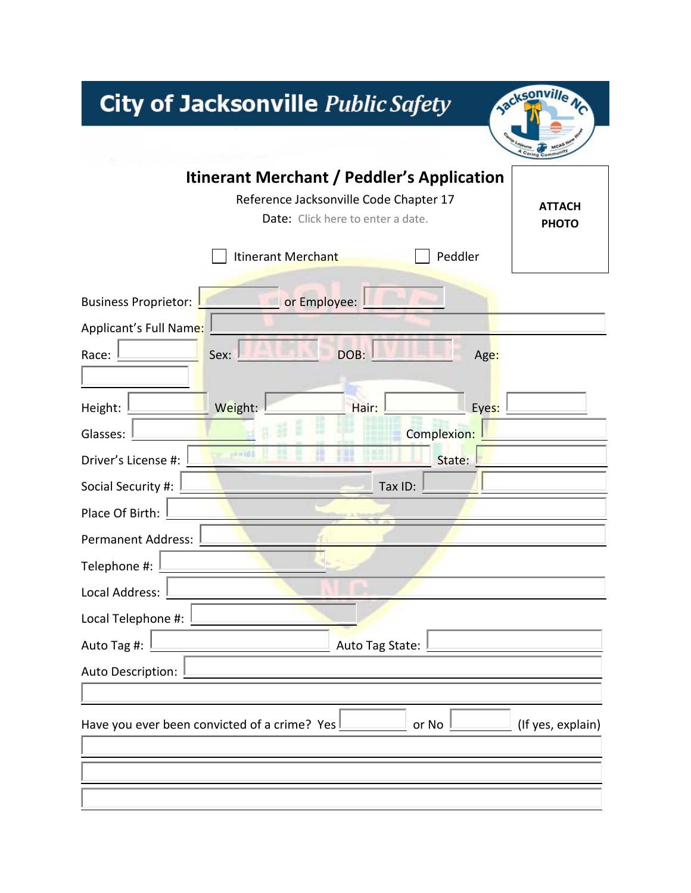# City of Jacksonville Public Safety



|                                 | <b>Itinerant Merchant / Peddler's Application</b><br>Reference Jacksonville Code Chapter 17 | Date: Click here to enter a date. |             | <b>ATTACH</b><br><b>PHOTO</b> |
|---------------------------------|---------------------------------------------------------------------------------------------|-----------------------------------|-------------|-------------------------------|
|                                 | Itinerant Merchant                                                                          |                                   | Peddler     |                               |
| <b>Business Proprietor:</b>     | or Employee:                                                                                |                                   |             |                               |
| Applicant's Full Name:<br>Race: | Sex:                                                                                        | DOB:                              | Age:        |                               |
| Height:                         | Weight:                                                                                     | Hair:                             | Eyes:       |                               |
| Glasses:                        |                                                                                             |                                   | Complexion: |                               |
| Driver's License #:             | <b>HELL</b>                                                                                 |                                   | State:      |                               |
| Social Security #:              |                                                                                             | Tax ID:                           |             |                               |
| Place Of Birth:                 |                                                                                             |                                   |             |                               |
| <b>Permanent Address:</b>       |                                                                                             |                                   |             |                               |
| Telephone #:                    |                                                                                             |                                   |             |                               |
| Local Address:                  |                                                                                             |                                   |             |                               |
| Local Telephone #:              |                                                                                             |                                   |             |                               |
| Auto Tag #:                     |                                                                                             | Auto Tag State:                   |             |                               |
| Auto Description:               |                                                                                             |                                   |             |                               |
|                                 |                                                                                             |                                   |             |                               |
|                                 | Have you ever been convicted of a crime? Yes                                                |                                   | or No       | (If yes, explain)             |
|                                 |                                                                                             |                                   |             |                               |
|                                 |                                                                                             |                                   |             |                               |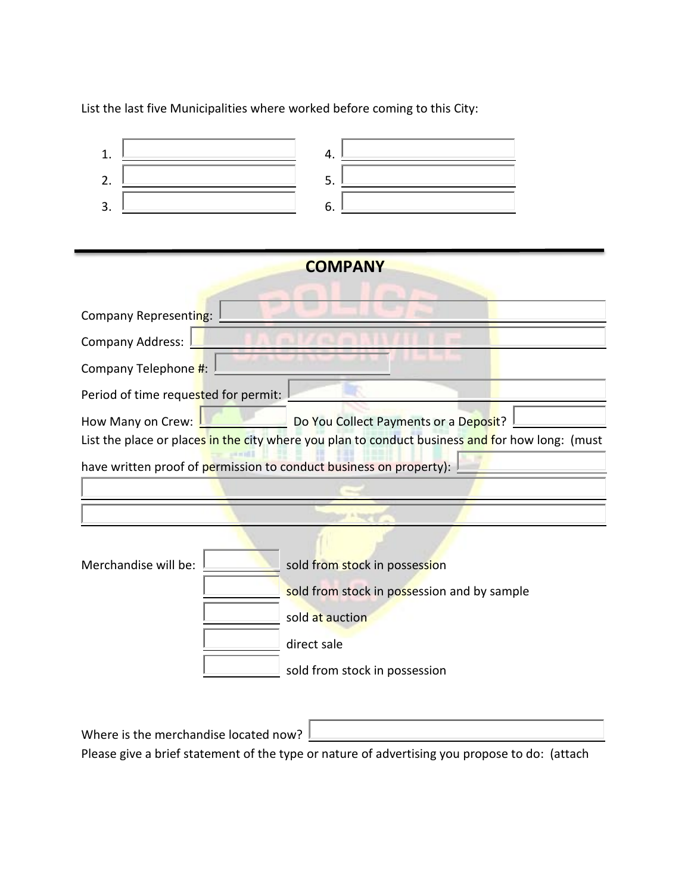List the last five Municipalities where worked before coming to this City:

| 1.<br>4.                                                                                        |
|-------------------------------------------------------------------------------------------------|
| 2.<br>5.                                                                                        |
| 3.<br>6.                                                                                        |
|                                                                                                 |
| <b>COMPANY</b>                                                                                  |
|                                                                                                 |
| Company Representing:                                                                           |
| <b>Company Address:</b>                                                                         |
| Company Telephone #:                                                                            |
| Period of time requested for permit:                                                            |
| How Many on Crew:<br>Do You Collect Payments or a Deposit?                                      |
| List the place or places in the city where you plan to conduct business and for how long: (must |
| have written proof of permission to conduct business on property):                              |
|                                                                                                 |
|                                                                                                 |
|                                                                                                 |
| Merchandise will be:<br>sold from stock in possession                                           |
| sold from stock in possession and by sample                                                     |
| sold at auction                                                                                 |
| direct sale                                                                                     |
| sold from stock in possession                                                                   |
|                                                                                                 |

Where is the merchandise located now?  $\boxed{\phantom{\cdot}}$ 

Please give a brief statement of the type or nature of advertising you propose to do: (attach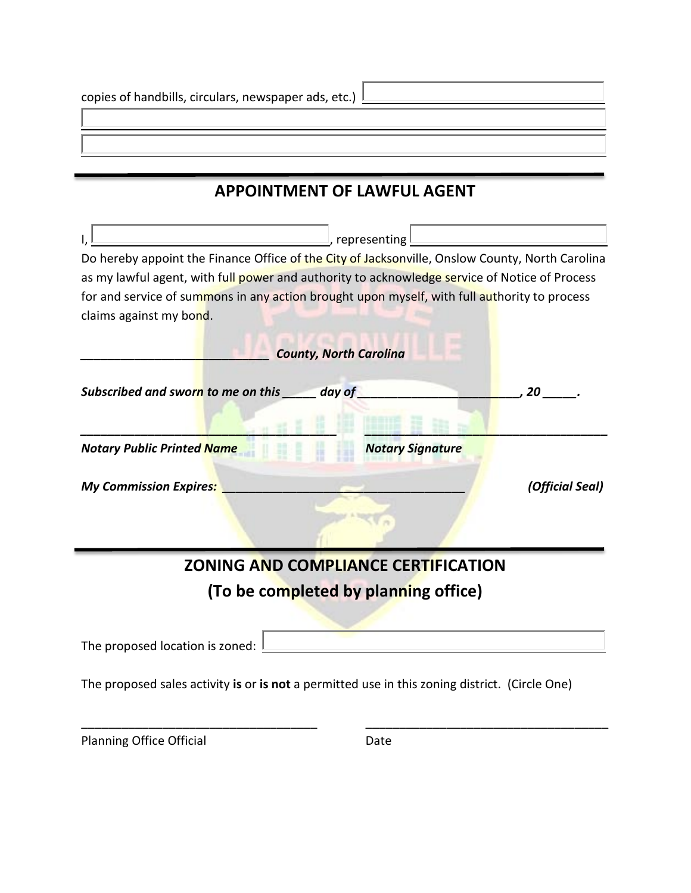### **APPOINTMENT OF LAWFUL AGENT**

| , representing l                                                                                |                 |
|-------------------------------------------------------------------------------------------------|-----------------|
| Do hereby appoint the Finance Office of the City of Jacksonville, Onslow County, North Carolina |                 |
| as my lawful agent, with full power and authority to acknowledge service of Notice of Process   |                 |
| for and service of summons in any action brought upon myself, with full authority to process    |                 |
| claims against my bond.                                                                         |                 |
|                                                                                                 |                 |
| <b>County, North Carolina</b>                                                                   |                 |
|                                                                                                 |                 |
| Subscribed and sworn to me on this day of                                                       | 20              |
|                                                                                                 |                 |
|                                                                                                 |                 |
| <b>Notary Public Printed Name</b><br><b>Notary Signature</b>                                    |                 |
| <b>My Commission Expires:</b>                                                                   |                 |
|                                                                                                 | (Official Seal) |
|                                                                                                 |                 |
|                                                                                                 |                 |
|                                                                                                 |                 |
| <b>ZONING AND COMPLIANCE CERTIFICATION</b>                                                      |                 |
|                                                                                                 |                 |
| (To be completed by planning office)                                                            |                 |
|                                                                                                 |                 |
| The proposed location is zoned:                                                                 |                 |
|                                                                                                 |                 |
| The proposed sales activity is or is not a permitted use in this zoning district. (Circle One)  |                 |
|                                                                                                 |                 |

Planning Office Official Date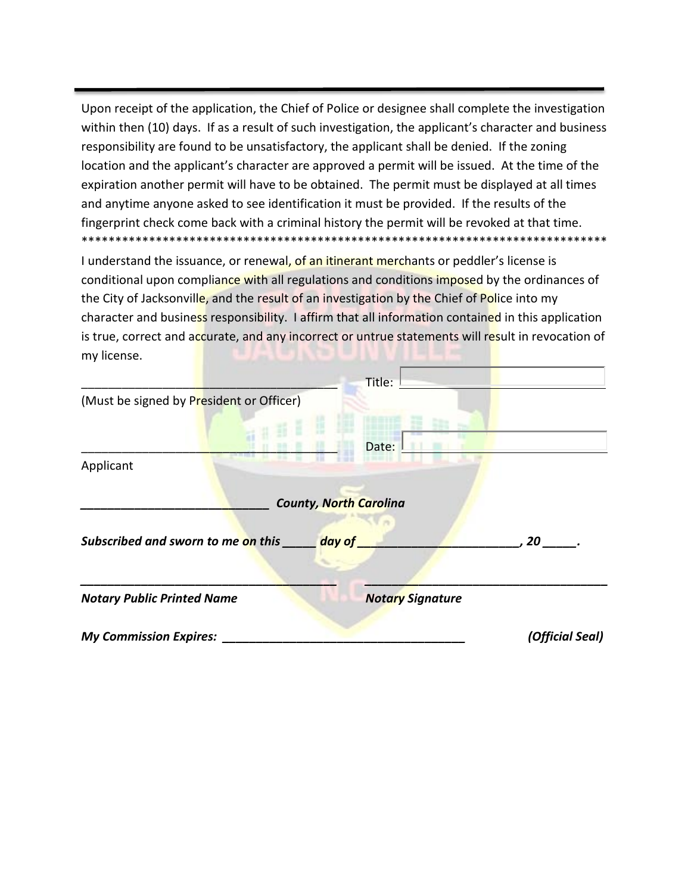Upon receipt of the application, the Chief of Police or designee shall complete the investigation within then (10) days. If as a result of such investigation, the applicant's character and business responsibility are found to be unsatisfactory, the applicant shall be denied. If the zoning location and the applicant's character are approved a permit will be issued. At the time of the expiration another permit will have to be obtained. The permit must be displayed at all times and anytime anyone asked to see identification it must be provided. If the results of the fingerprint check come back with a criminal history the permit will be revoked at that time. \*\*\*\*\*\*\*\*\*\*\*\*\*\*\*\*\*\*\*\*\*\*\*\*\*\*\*\*\*\*\*\*\*\*\*\*\*\*\*\*\*\*\*\*\*\*\*\*\*\*\*\*\*\*\*\*\*\*\*\*\*\*\*\*\*\*\*\*\*\*\*\*\*\*\*\*\*\*

I understand the issuance, or renewal, of an itinerant merchants or peddler's license is conditional upon compliance with all regulations and conditions imposed by the ordinances of the City of Jacksonville, and the result of an investigation by the Chief of Police into my character and business responsibility. I affirm that all information contained in this application is true, correct and accurate, and any incorrect or untrue statements will result in revocation of my license.

|                                          | Title:                        |                 |
|------------------------------------------|-------------------------------|-----------------|
| (Must be signed by President or Officer) |                               |                 |
|                                          | Date:                         |                 |
| Applicant                                |                               |                 |
|                                          | <b>County, North Carolina</b> |                 |
| Subscribed and sworn to me on this       | day of                        | 20              |
|                                          |                               |                 |
| <b>Notary Public Printed Name</b>        | <b>Notary Signature</b>       |                 |
| <b>My Commission Expires:</b>            |                               | (Official Seal) |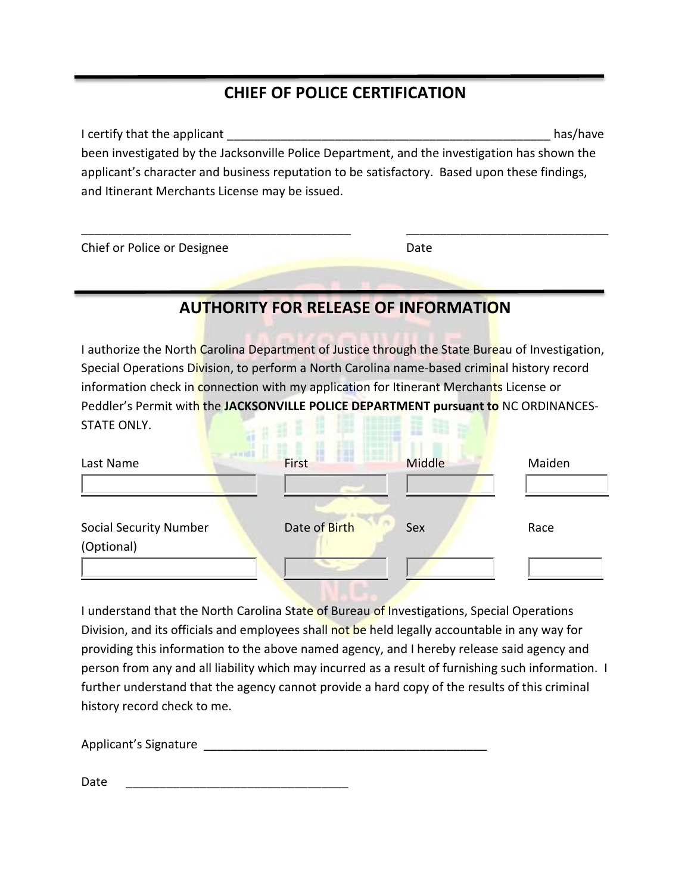## **CHIEF OF POLICE CERTIFICATION**

I certify that the applicant \_\_\_\_\_\_\_\_\_\_\_\_\_\_\_\_\_\_\_\_\_\_\_\_\_\_\_\_\_\_\_\_\_\_\_\_\_\_\_\_\_\_\_\_\_\_\_\_ has/have been investigated by the Jacksonville Police Department, and the investigation has shown the applicant's character and business reputation to be satisfactory. Based upon these findings, and Itinerant Merchants License may be issued.

\_\_\_\_\_\_\_\_\_\_\_\_\_\_\_\_\_\_\_\_\_\_\_\_\_\_\_\_\_\_\_\_\_\_\_\_\_\_\_\_ \_\_\_\_\_\_\_\_\_\_\_\_\_\_\_\_\_\_\_\_\_\_\_\_\_\_\_\_\_\_

| Chief or Police or Designee | Date |
|-----------------------------|------|
|                             |      |

#### **AUTHORITY FOR RELEASE OF INFORMATION**

I authorize the North Carolina Department of Justice through the State Bureau of Investigation, Special Operations Division, to perform a North Carolina name-based criminal history record information check in connection with my application for Itinerant Merchants License or Peddler's Permit with the **JACKSONVILLE POLICE DEPARTMENT pursuant to** NC ORDINANCES-STATE ONLY. 

| Last Name                                   | First         | <b>Middle</b> | Maiden |
|---------------------------------------------|---------------|---------------|--------|
| <b>Social Security Number</b><br>(Optional) | Date of Birth | Sex           | Race   |
|                                             |               |               |        |

I understand that the North Carolina State of Bureau of Investigations, Special Operations Division, and its officials and employees shall not be held legally accountable in any way for providing this information to the above named agency, and I hereby release said agency and person from any and all liability which may incurred as a result of furnishing such information. I further understand that the agency cannot provide a hard copy of the results of this criminal history record check to me.

Applicant's Signature \_\_\_\_\_\_\_\_\_\_\_\_\_\_\_\_\_\_\_\_\_\_\_\_\_\_\_\_\_\_\_\_\_\_\_\_\_\_\_\_\_\_

Date \_\_\_\_\_\_\_\_\_\_\_\_\_\_\_\_\_\_\_\_\_\_\_\_\_\_\_\_\_\_\_\_\_